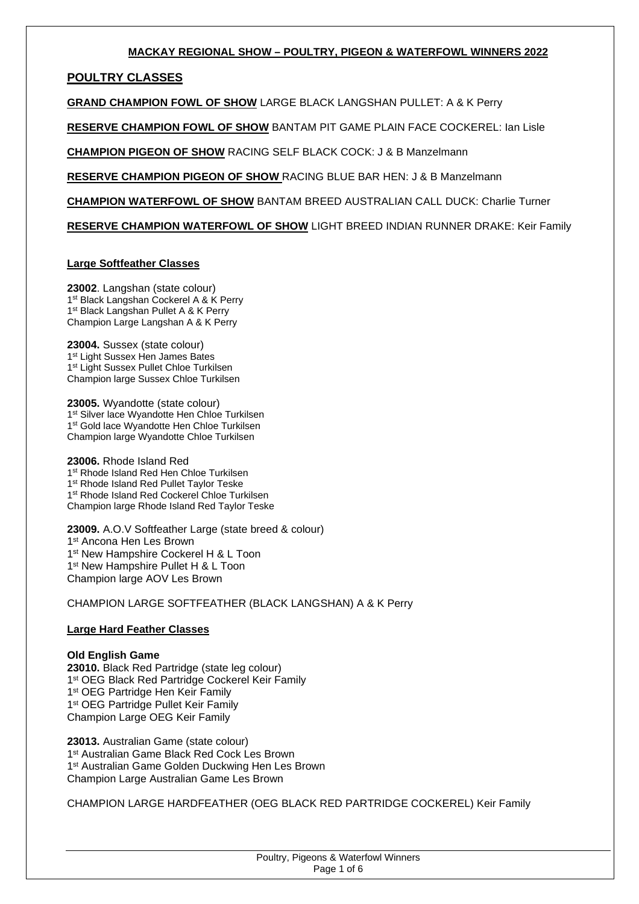## **MACKAY REGIONAL SHOW – POULTRY, PIGEON & WATERFOWL WINNERS 2022**

# **POULTRY CLASSES**

**GRAND CHAMPION FOWL OF SHOW** LARGE BLACK LANGSHAN PULLET: A & K Perry

**RESERVE CHAMPION FOWL OF SHOW** BANTAM PIT GAME PLAIN FACE COCKEREL: Ian Lisle

**CHAMPION PIGEON OF SHOW** RACING SELF BLACK COCK: J & B Manzelmann

**RESERVE CHAMPION PIGEON OF SHOW** RACING BLUE BAR HEN: J & B Manzelmann

**CHAMPION WATERFOWL OF SHOW** BANTAM BREED AUSTRALIAN CALL DUCK: Charlie Turner

**RESERVE CHAMPION WATERFOWL OF SHOW** LIGHT BREED INDIAN RUNNER DRAKE: Keir Family

## **Large Softfeather Classes**

**23002**. Langshan (state colour) 1<sup>st</sup> Black Langshan Cockerel A & K Perry 1<sup>st</sup> Black Langshan Pullet A & K Perry Champion Large Langshan A & K Perry

**23004.** Sussex (state colour) 1<sup>st</sup> Light Sussex Hen James Bates 1<sup>st</sup> Light Sussex Pullet Chloe Turkilsen Champion large Sussex Chloe Turkilsen

**23005.** Wyandotte (state colour) 1<sup>st</sup> Silver lace Wyandotte Hen Chloe Turkilsen 1<sup>st</sup> Gold lace Wyandotte Hen Chloe Turkilsen Champion large Wyandotte Chloe Turkilsen

**23006.** Rhode Island Red 1<sup>st</sup> Rhode Island Red Hen Chloe Turkilsen 1<sup>st</sup> Rhode Island Red Pullet Taylor Teske 1 st Rhode Island Red Cockerel Chloe Turkilsen Champion large Rhode Island Red Taylor Teske

**23009.** A.O.V Softfeather Large (state breed & colour) 1 st Ancona Hen Les Brown 1<sup>st</sup> New Hampshire Cockerel H & L Toon 1<sup>st</sup> New Hampshire Pullet H & L Toon Champion large AOV Les Brown

CHAMPION LARGE SOFTFEATHER (BLACK LANGSHAN) A & K Perry

## **Large Hard Feather Classes**

## **Old English Game**

**23010.** Black Red Partridge (state leg colour) 1<sup>st</sup> OEG Black Red Partridge Cockerel Keir Family 1<sup>st</sup> OEG Partridge Hen Keir Family 1<sup>st</sup> OEG Partridge Pullet Keir Family Champion Large OEG Keir Family

**23013.** Australian Game (state colour) 1 st Australian Game Black Red Cock Les Brown 1<sup>st</sup> Australian Game Golden Duckwing Hen Les Brown Champion Large Australian Game Les Brown

CHAMPION LARGE HARDFEATHER (OEG BLACK RED PARTRIDGE COCKEREL) Keir Family

| Poultry, Pigeons & Waterfowl Winners |
|--------------------------------------|
| Page 1 of 6                          |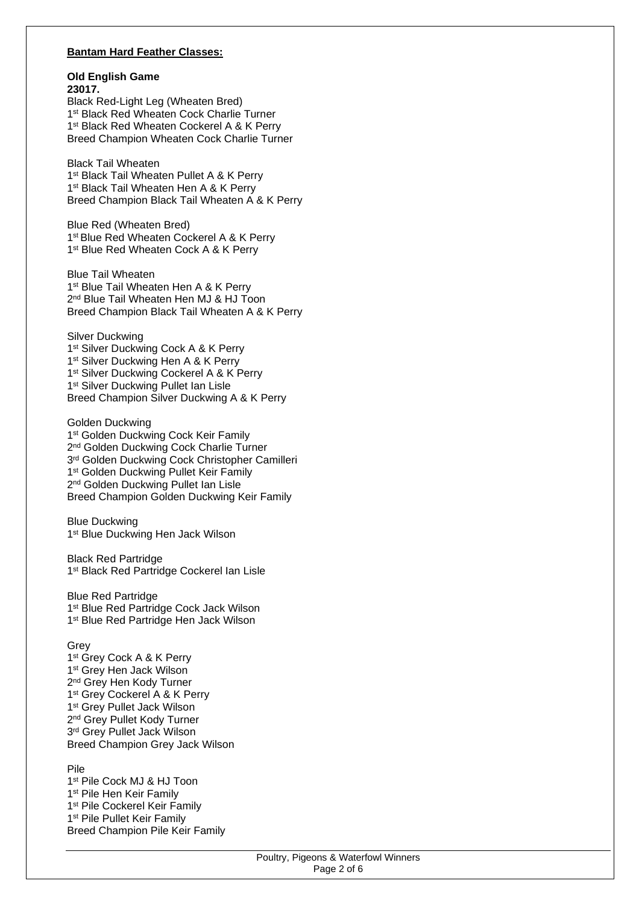#### **Bantam Hard Feather Classes:**

#### **Old English Game 23017.**

Black Red-Light Leg (Wheaten Bred) 1 st Black Red Wheaten Cock Charlie Turner 1<sup>st</sup> Black Red Wheaten Cockerel A & K Perry Breed Champion Wheaten Cock Charlie Turner

Black Tail Wheaten 1<sup>st</sup> Black Tail Wheaten Pullet A & K Perry 1<sup>st</sup> Black Tail Wheaten Hen A & K Perry Breed Champion Black Tail Wheaten A & K Perry

Blue Red (Wheaten Bred) 1<sup>st</sup> Blue Red Wheaten Cockerel A & K Perry 1<sup>st</sup> Blue Red Wheaten Cock A & K Perry

Blue Tail Wheaten 1<sup>st</sup> Blue Tail Wheaten Hen A & K Perry 2 nd Blue Tail Wheaten Hen MJ & HJ Toon Breed Champion Black Tail Wheaten A & K Perry

Silver Duckwing 1<sup>st</sup> Silver Duckwing Cock A & K Perry 1<sup>st</sup> Silver Duckwing Hen A & K Perry 1<sup>st</sup> Silver Duckwing Cockerel A & K Perry 1<sup>st</sup> Silver Duckwing Pullet Ian Lisle Breed Champion Silver Duckwing A & K Perry

Golden Duckwing 1<sup>st</sup> Golden Duckwing Cock Keir Family 2<sup>nd</sup> Golden Duckwing Cock Charlie Turner 3<sup>rd</sup> Golden Duckwing Cock Christopher Camilleri 1<sup>st</sup> Golden Duckwing Pullet Keir Family 2<sup>nd</sup> Golden Duckwing Pullet Ian Lisle Breed Champion Golden Duckwing Keir Family

Blue Duckwing 1<sup>st</sup> Blue Duckwing Hen Jack Wilson

Black Red Partridge 1<sup>st</sup> Black Red Partridge Cockerel Ian Lisle

Blue Red Partridge 1<sup>st</sup> Blue Red Partridge Cock Jack Wilson 1 st Blue Red Partridge Hen Jack Wilson

Grey

1<sup>st</sup> Grey Cock A & K Perry 1 st Grey Hen Jack Wilson 2<sup>nd</sup> Grey Hen Kody Turner 1<sup>st</sup> Grey Cockerel A & K Perry 1 st Grey Pullet Jack Wilson 2<sup>nd</sup> Grey Pullet Kody Turner 3 rd Grey Pullet Jack Wilson Breed Champion Grey Jack Wilson

Pile

1 st Pile Cock MJ & HJ Toon 1<sup>st</sup> Pile Hen Keir Family 1<sup>st</sup> Pile Cockerel Keir Family 1<sup>st</sup> Pile Pullet Keir Family Breed Champion Pile Keir Family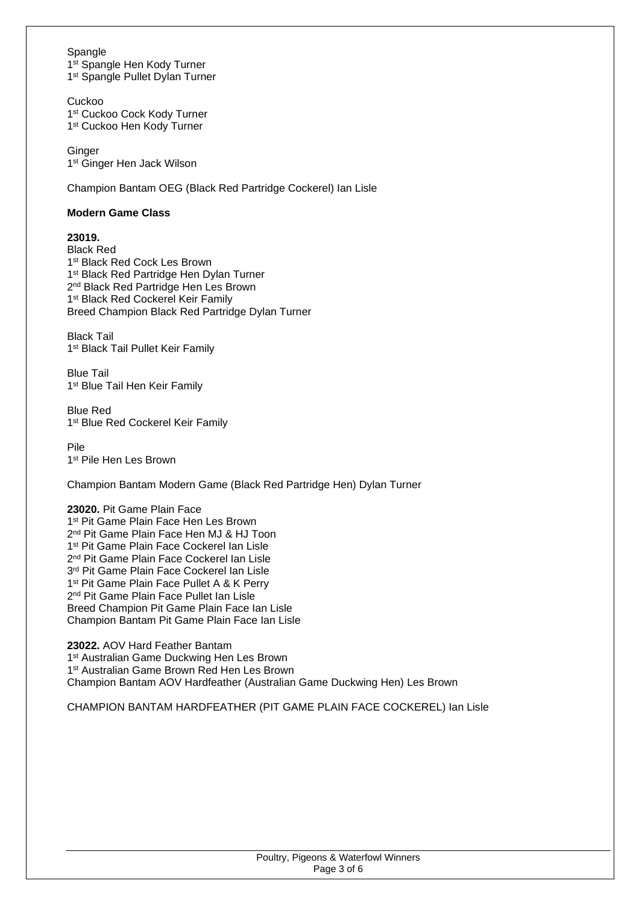### Spangle

1<sup>st</sup> Spangle Hen Kody Turner 1<sup>st</sup> Spangle Pullet Dylan Turner

Cuckoo 1 st Cuckoo Cock Kody Turner 1 st Cuckoo Hen Kody Turner

**Ginger** 1 st Ginger Hen Jack Wilson

Champion Bantam OEG (Black Red Partridge Cockerel) Ian Lisle

### **Modern Game Class**

## **23019.**

Black Red 1 st Black Red Cock Les Brown 1<sup>st</sup> Black Red Partridge Hen Dylan Turner 2<sup>nd</sup> Black Red Partridge Hen Les Brown 1<sup>st</sup> Black Red Cockerel Keir Family Breed Champion Black Red Partridge Dylan Turner

Black Tail 1<sup>st</sup> Black Tail Pullet Keir Family

Blue Tail 1<sup>st</sup> Blue Tail Hen Keir Family

Blue Red 1<sup>st</sup> Blue Red Cockerel Keir Family

Pile 1 st Pile Hen Les Brown

Champion Bantam Modern Game (Black Red Partridge Hen) Dylan Turner

#### **23020.** Pit Game Plain Face 1 st Pit Game Plain Face Hen Les Brown 2 nd Pit Game Plain Face Hen MJ & HJ Toon 1 st Pit Game Plain Face Cockerel Ian Lisle 2 nd Pit Game Plain Face Cockerel Ian Lisle 3 rd Pit Game Plain Face Cockerel Ian Lisle 1<sup>st</sup> Pit Game Plain Face Pullet A & K Perry 2 nd Pit Game Plain Face Pullet Ian Lisle Breed Champion Pit Game Plain Face Ian Lisle Champion Bantam Pit Game Plain Face Ian Lisle

**23022.** AOV Hard Feather Bantam 1<sup>st</sup> Australian Game Duckwing Hen Les Brown 1<sup>st</sup> Australian Game Brown Red Hen Les Brown Champion Bantam AOV Hardfeather (Australian Game Duckwing Hen) Les Brown

CHAMPION BANTAM HARDFEATHER (PIT GAME PLAIN FACE COCKEREL) Ian Lisle

| Poultry, Pigeons & Waterfowl Winners |  |
|--------------------------------------|--|
| Page 3 of 6                          |  |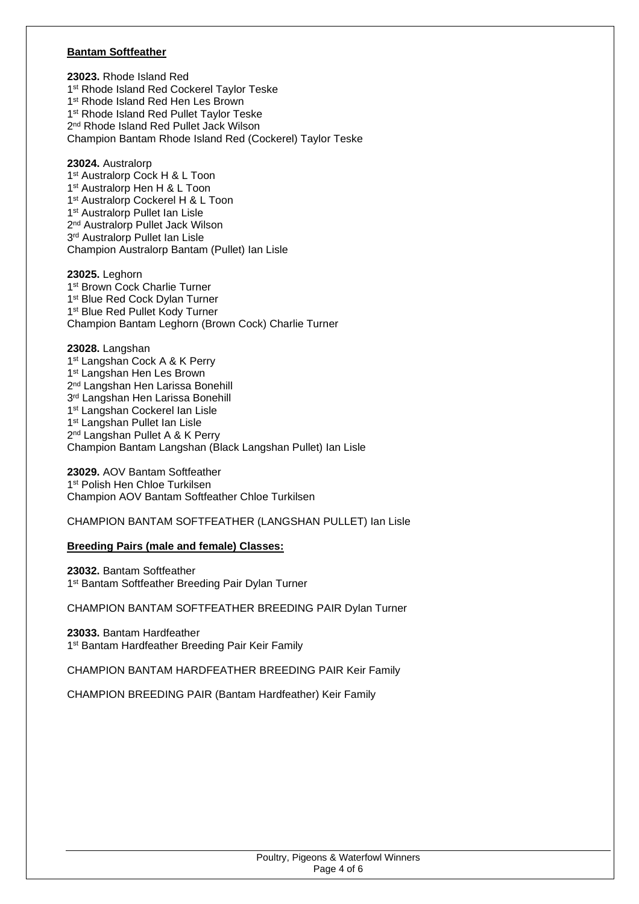#### **Bantam Softfeather**

**23023.** Rhode Island Red 1<sup>st</sup> Rhode Island Red Cockerel Taylor Teske 1<sup>st</sup> Rhode Island Red Hen Les Brown 1<sup>st</sup> Rhode Island Red Pullet Taylor Teske 2 nd Rhode Island Red Pullet Jack Wilson Champion Bantam Rhode Island Red (Cockerel) Taylor Teske

**23024.** Australorp 1 st Australorp Cock H & L Toon 1 st Australorp Hen H & L Toon 1<sup>st</sup> Australorp Cockerel H & L Toon 1 st Australorp Pullet Ian Lisle 2<sup>nd</sup> Australorp Pullet Jack Wilson 3 rd Australorp Pullet Ian Lisle Champion Australorp Bantam (Pullet) Ian Lisle

**23025.** Leghorn 1 st Brown Cock Charlie Turner 1<sup>st</sup> Blue Red Cock Dylan Turner 1<sup>st</sup> Blue Red Pullet Kody Turner Champion Bantam Leghorn (Brown Cock) Charlie Turner

**23028.** Langshan 1<sup>st</sup> Langshan Cock A & K Perry 1<sup>st</sup> Langshan Hen Les Brown 2<sup>nd</sup> Langshan Hen Larissa Bonehill 3 rd Langshan Hen Larissa Bonehill 1<sup>st</sup> Langshan Cockerel Ian Lisle 1<sup>st</sup> Langshan Pullet Ian Lisle 2<sup>nd</sup> Langshan Pullet A & K Perry Champion Bantam Langshan (Black Langshan Pullet) Ian Lisle

**23029.** AOV Bantam Softfeather 1 st Polish Hen Chloe Turkilsen Champion AOV Bantam Softfeather Chloe Turkilsen

#### CHAMPION BANTAM SOFTFEATHER (LANGSHAN PULLET) Ian Lisle

#### **Breeding Pairs (male and female) Classes:**

**23032.** Bantam Softfeather 1<sup>st</sup> Bantam Softfeather Breeding Pair Dylan Turner

CHAMPION BANTAM SOFTFEATHER BREEDING PAIR Dylan Turner

**23033.** Bantam Hardfeather 1<sup>st</sup> Bantam Hardfeather Breeding Pair Keir Family

CHAMPION BANTAM HARDFEATHER BREEDING PAIR Keir Family

CHAMPION BREEDING PAIR (Bantam Hardfeather) Keir Family

| Poultry, Pigeons & Waterfowl Winners |             |  |
|--------------------------------------|-------------|--|
|                                      | Page 4 of 6 |  |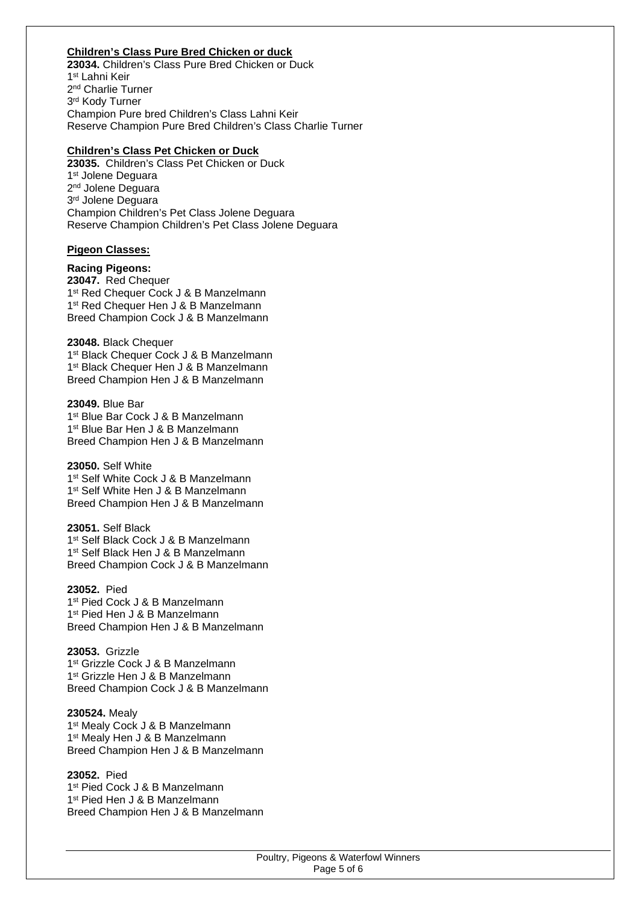# **Children's Class Pure Bred Chicken or duck**

**23034.** Children's Class Pure Bred Chicken or Duck 1 st Lahni Keir 2 nd Charlie Turner 3 rd Kody Turner Champion Pure bred Children's Class Lahni Keir Reserve Champion Pure Bred Children's Class Charlie Turner

#### **Children's Class Pet Chicken or Duck**

**23035.** Children's Class Pet Chicken or Duck 1 st Jolene Deguara 2<sup>nd</sup> Jolene Deguara 3 rd Jolene Deguara Champion Children's Pet Class Jolene Deguara Reserve Champion Children's Pet Class Jolene Deguara

#### **Pigeon Classes:**

**Racing Pigeons: 23047.** Red Chequer 1<sup>st</sup> Red Chequer Cock J & B Manzelmann 1<sup>st</sup> Red Chequer Hen J & B Manzelmann Breed Champion Cock J & B Manzelmann

**23048.** Black Chequer 1 st Black Chequer Cock J & B Manzelmann 1<sup>st</sup> Black Chequer Hen J & B Manzelmann Breed Champion Hen J & B Manzelmann

**23049.** Blue Bar 1 st Blue Bar Cock J & B Manzelmann 1 st Blue Bar Hen J & B Manzelmann Breed Champion Hen J & B Manzelmann

**23050.** Self White 1 st Self White Cock J & B Manzelmann 1 st Self White Hen J & B Manzelmann Breed Champion Hen J & B Manzelmann

**23051.** Self Black 1 st Self Black Cock J & B Manzelmann 1 st Self Black Hen J & B Manzelmann Breed Champion Cock J & B Manzelmann

**23052.** Pied 1 st Pied Cock J & B Manzelmann 1 st Pied Hen J & B Manzelmann Breed Champion Hen J & B Manzelmann

**23053.** Grizzle 1 st Grizzle Cock J & B Manzelmann 1 st Grizzle Hen J & B Manzelmann Breed Champion Cock J & B Manzelmann

**230524.** Mealy 1<sup>st</sup> Mealy Cock J & B Manzelmann 1 st Mealy Hen J & B Manzelmann Breed Champion Hen J & B Manzelmann

**23052.** Pied 1 st Pied Cock J & B Manzelmann 1 st Pied Hen J & B Manzelmann Breed Champion Hen J & B Manzelmann